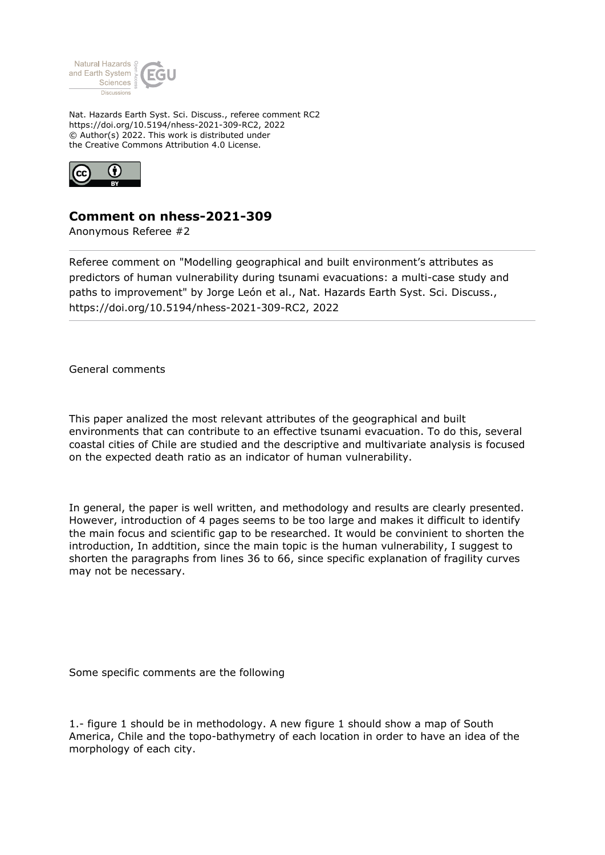

Nat. Hazards Earth Syst. Sci. Discuss., referee comment RC2 https://doi.org/10.5194/nhess-2021-309-RC2, 2022 © Author(s) 2022. This work is distributed under the Creative Commons Attribution 4.0 License.



## **Comment on nhess-2021-309**

Anonymous Referee #2

Referee comment on "Modelling geographical and built environment's attributes as predictors of human vulnerability during tsunami evacuations: a multi-case study and paths to improvement" by Jorge León et al., Nat. Hazards Earth Syst. Sci. Discuss., https://doi.org/10.5194/nhess-2021-309-RC2, 2022

General comments

This paper analized the most relevant attributes of the geographical and built environments that can contribute to an effective tsunami evacuation. To do this, several coastal cities of Chile are studied and the descriptive and multivariate analysis is focused on the expected death ratio as an indicator of human vulnerability.

In general, the paper is well written, and methodology and results are clearly presented. However, introduction of 4 pages seems to be too large and makes it difficult to identify the main focus and scientific gap to be researched. It would be convinient to shorten the introduction, In addtition, since the main topic is the human vulnerability, I suggest to shorten the paragraphs from lines 36 to 66, since specific explanation of fragility curves may not be necessary.

Some specific comments are the following

1.- figure 1 should be in methodology. A new figure 1 should show a map of South America, Chile and the topo-bathymetry of each location in order to have an idea of the morphology of each city.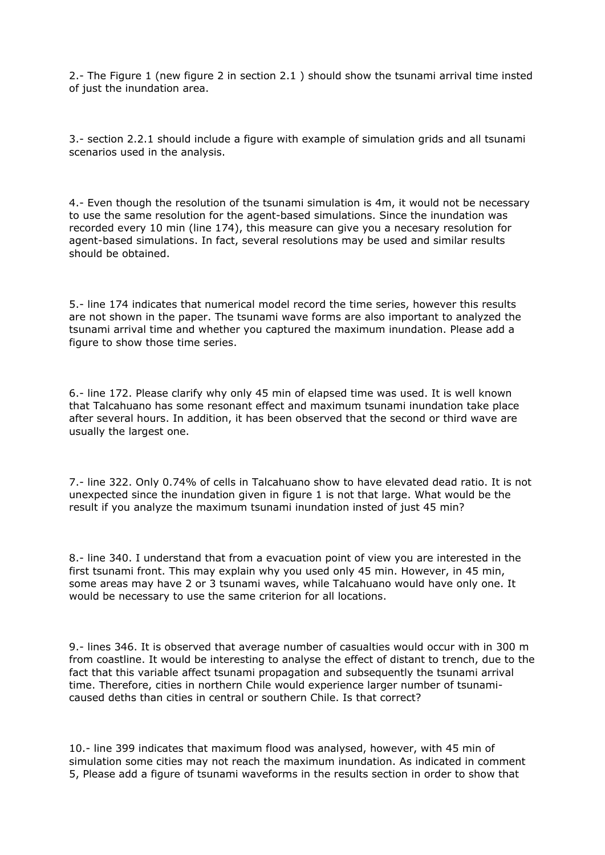2.- The Figure 1 (new figure 2 in section 2.1 ) should show the tsunami arrival time insted of just the inundation area.

3.- section 2.2.1 should include a figure with example of simulation grids and all tsunami scenarios used in the analysis.

4.- Even though the resolution of the tsunami simulation is 4m, it would not be necessary to use the same resolution for the agent-based simulations. Since the inundation was recorded every 10 min (line 174), this measure can give you a necesary resolution for agent-based simulations. In fact, several resolutions may be used and similar results should be obtained.

5.- line 174 indicates that numerical model record the time series, however this results are not shown in the paper. The tsunami wave forms are also important to analyzed the tsunami arrival time and whether you captured the maximum inundation. Please add a figure to show those time series.

6.- line 172. Please clarify why only 45 min of elapsed time was used. It is well known that Talcahuano has some resonant effect and maximum tsunami inundation take place after several hours. In addition, it has been observed that the second or third wave are usually the largest one.

7.- line 322. Only 0.74% of cells in Talcahuano show to have elevated dead ratio. It is not unexpected since the inundation given in figure 1 is not that large. What would be the result if you analyze the maximum tsunami inundation insted of just 45 min?

8.- line 340. I understand that from a evacuation point of view you are interested in the first tsunami front. This may explain why you used only 45 min. However, in 45 min, some areas may have 2 or 3 tsunami waves, while Talcahuano would have only one. It would be necessary to use the same criterion for all locations.

9.- lines 346. It is observed that average number of casualties would occur with in 300 m from coastline. It would be interesting to analyse the effect of distant to trench, due to the fact that this variable affect tsunami propagation and subsequently the tsunami arrival time. Therefore, cities in northern Chile would experience larger number of tsunamicaused deths than cities in central or southern Chile. Is that correct?

10.- line 399 indicates that maximum flood was analysed, however, with 45 min of simulation some cities may not reach the maximum inundation. As indicated in comment 5, Please add a figure of tsunami waveforms in the results section in order to show that